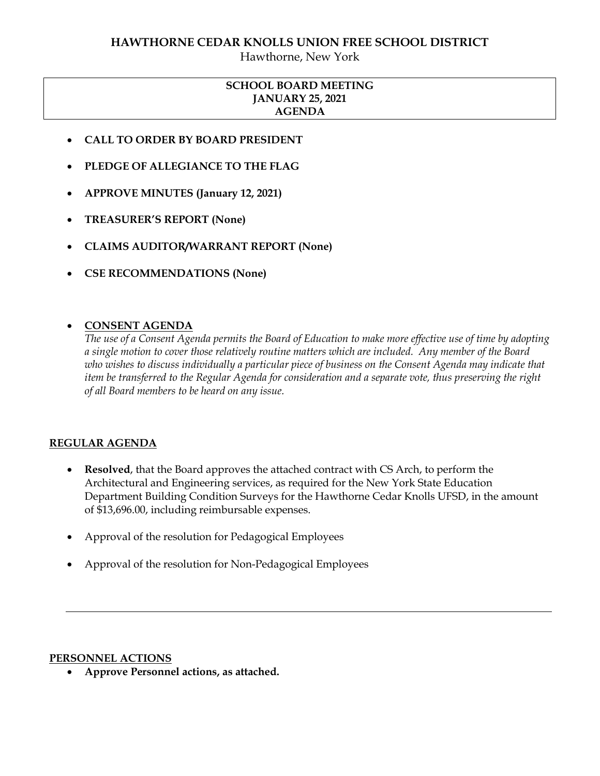### **HAWTHORNE CEDAR KNOLLS UNION FREE SCHOOL DISTRICT**

Hawthorne, New York

## **SCHOOL BOARD MEETING JANUARY 25, 2021 AGENDA**

- **CALL TO ORDER BY BOARD PRESIDENT**
- **PLEDGE OF ALLEGIANCE TO THE FLAG**
- **APPROVE MINUTES (January 12, 2021)**
- **TREASURER'S REPORT (None)**
- **CLAIMS AUDITOR/WARRANT REPORT (None)**
- **CSE RECOMMENDATIONS (None)**

## **CONSENT AGENDA**

*The use of a Consent Agenda permits the Board of Education to make more effective use of time by adopting a single motion to cover those relatively routine matters which are included. Any member of the Board who wishes to discuss individually a particular piece of business on the Consent Agenda may indicate that item be transferred to the Regular Agenda for consideration and a separate vote, thus preserving the right of all Board members to be heard on any issue.* 

### **REGULAR AGENDA**

- **Resolved**, that the Board approves the attached contract with CS Arch, to perform the Architectural and Engineering services, as required for the New York State Education Department Building Condition Surveys for the Hawthorne Cedar Knolls UFSD, in the amount of \$13,696.00, including reimbursable expenses.
- Approval of the resolution for Pedagogical Employees
- Approval of the resolution for Non-Pedagogical Employees

#### **PERSONNEL ACTIONS**

**Approve Personnel actions, as attached.**